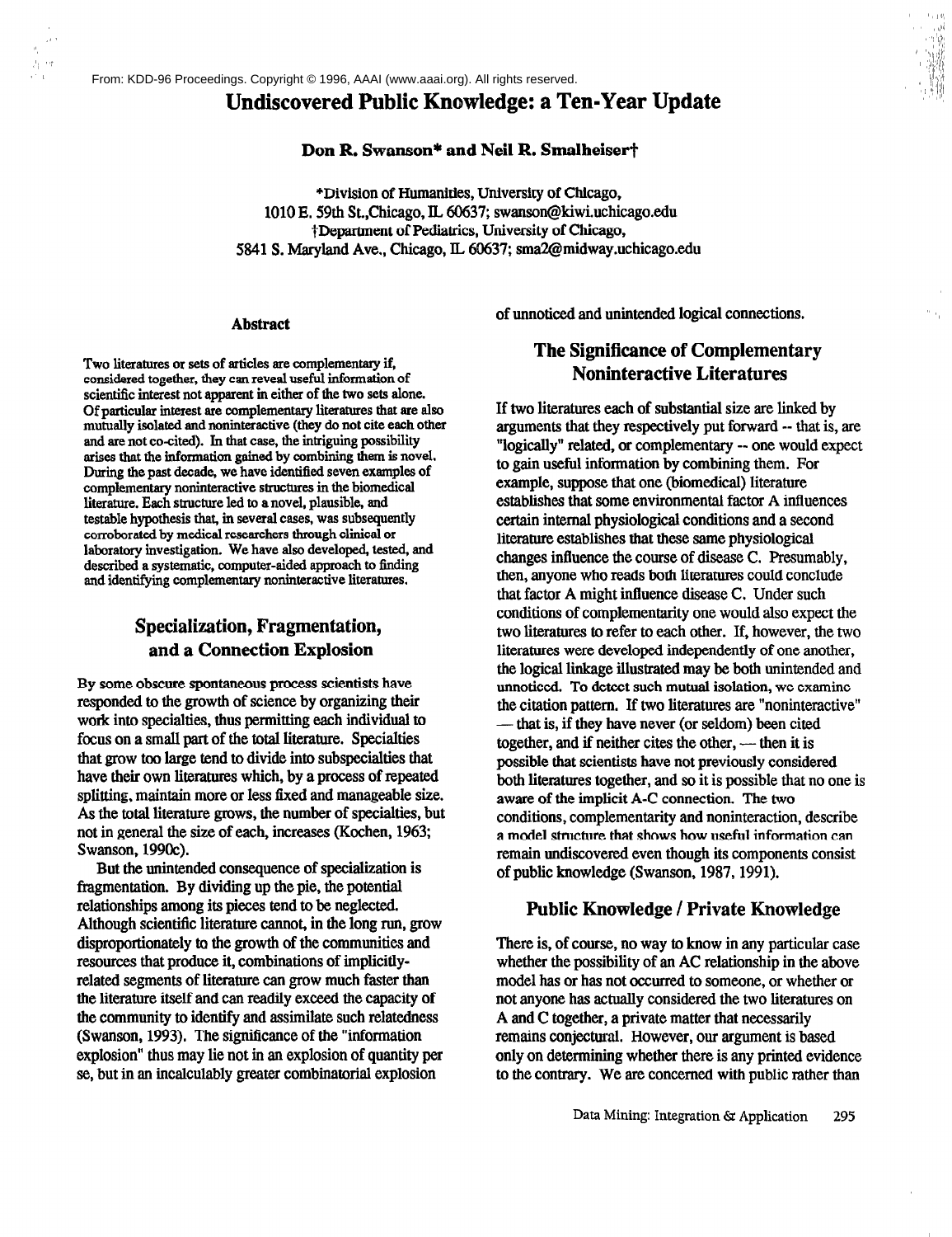# Undiscovered Public Knowledge: a Ten-Year Update

#### Don R. Swanson\* and Neil R. Smalheiser†

\*Division of Humanities, University of Chicago, 1010 E. 59th St., Chicago, IL 60637; swanson@kiwi.uchicago.edu †Department of Pediatrics, University of Chicago, 5841 S. Maryland Ave., Chicago, IL 60637; sma2@midway.uchicago.edu

#### **Abstract**

Two literatures or sets of articles are complementary if, considered together, they can reveal useful information of scientific interest not apparent in either of the two sets alone. Of particular interest are complementary literatures that are also mutually isolated and noninteractive (they do not cite each other and are not co-cited). In that case, the intriguing possibility arises that the information gained by combining them is novel. During the past decade, we have identified seven examples of complementary noninteractive structures in the biomedical literature. Each structure led to a novel, plausible, and testable hypothesis that, in several cases, was subsequently corroborated by medical researchers through clinical or laboratory investigation. We have also developed, tested, and described a systematic, computer-aided approach to finding and identifying complementary noninteractive literatures.

# Specialization, Fragmentation, and a Connection Explosion

By some obscure spontaneous process scientists have responded to the growth of science by organizing their work into specialties, thus permitting each individual to focus on a small part of the total literature. Specialties that grow too large tend to divide into subspecialties that have their own literatures which, by a process of repeated splitting, maintain more or less fixed and manageable size. As the total literature grows, the number of specialties, but not in general the size of each, increases (Kochen, 1963; Swanson, 1990c).

But the unintended consequence of specialization is fragmentation. By dividing up the pie, the potential relationships among its pieces tend to be neglected. Although scientific literature cannot, in the long run, grow disproportionately to the growth of the communities and resources that produce it, combinations of implicitlyrelated segments of literature can grow much faster than the literature itself and can readily exceed the capacity of the community to identify and assimilate such relatedness (Swanson, 1993). The significance of the "information" explosion" thus may lie not in an explosion of quantity per se, but in an incalculably greater combinatorial explosion

of unnoticed and unintended logical connections.

## **The Significance of Complementary Noninteractive Literatures**

If two literatures each of substantial size are linked by arguments that they respectively put forward -- that is, are "logically" related, or complementary -- one would expect to gain useful information by combining them. For example, suppose that one (biomedical) literature establishes that some environmental factor A influences certain internal physiological conditions and a second literature establishes that these same physiological changes influence the course of disease C. Presumably, then, anyone who reads both literatures could conclude that factor A might influence disease C. Under such conditions of complementarity one would also expect the two literatures to refer to each other. If, however, the two literatures were developed independently of one another, the logical linkage illustrated may be both unintended and unnoticed. To detect such mutual isolation, we examine the citation pattern. If two literatures are "noninteractive" that is, if they have never (or seldom) been cited together, and if neither cites the other, — then it is possible that scientists have not previously considered both literatures together, and so it is possible that no one is aware of the implicit A-C connection. The two conditions, complementarity and noninteraction, describe a model structure that shows how useful information can remain undiscovered even though its components consist of public knowledge (Swanson, 1987, 1991).

#### **Public Knowledge / Private Knowledge**

There is, of course, no way to know in any particular case whether the possibility of an AC relationship in the above model has or has not occurred to someone, or whether or not anyone has actually considered the two literatures on A and C together, a private matter that necessarily remains conjectural. However, our argument is based only on determining whether there is any printed evidence to the contrary. We are concerned with public rather than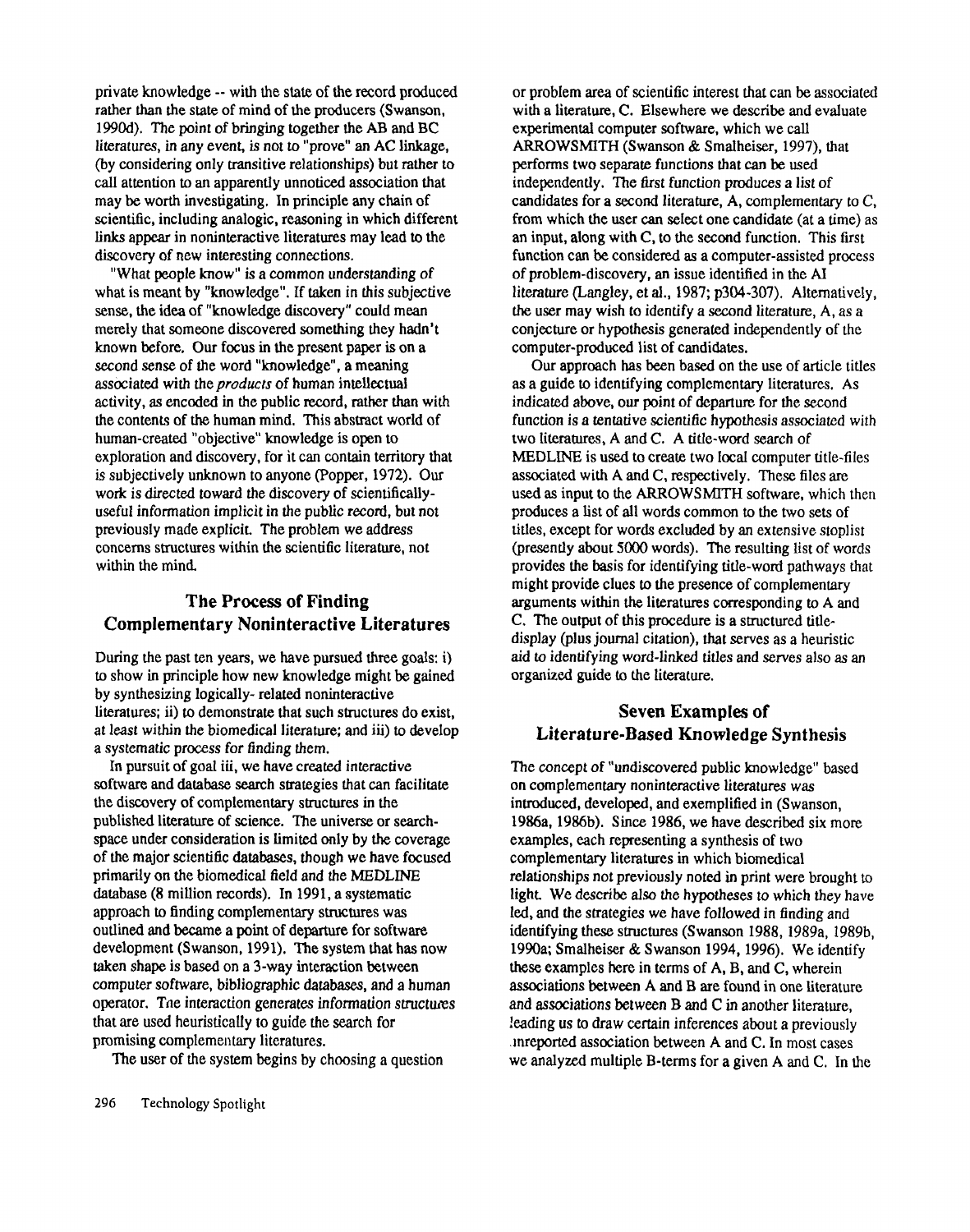private knowledge -- with the state of the record produced rather than the state of mind of the producers (Swanson, 1990d). The point of bringing together the AB and BC literatures, in any event, is not to "prove" an AC linkage, (by considering only transitive relationships) but rather call attention to an apparently unnoticed association that may be worth investigating. In principle any chain of scientific, including analogic, reasoning in which different links appear in noninteractive literatures may lead to the discovery of new interesting connections.

"What people know" is a common understanding of what is meant by "knowledge". If taken in this subjective sense, the idea of "knowledge discovery" could mean merely that someone discovered something they hadn't known before. Our focus in the present paper is on a second sense of the word "knowledge", a meaning associated with *the products* of human intellectual activity, as encoded in the public record, rather than with the contents of the human mind. This abstract world of human-created "objective" knowledge is open to exploration and discovery, for it can contain territory that is subjectively unknown to anyone (Popper, 1972). Our work is directed toward the discovery of scientificallyuseful information implicit in the public record, but not previously made explicit. The problem we address concerns structures within the scientific literature, not within the mind.

# **The Process of Finding Complementary Noninteractive Literatures**

During the past ten years, we have pursued three goals: i) to show in principle how new knowledge might be gained by synthesizing logically- related noninteractive literatures; ii) to demonstrate that such structures do exist, at least within the biomedical literature; and iii) to develop a systematic process for finding them.

In pursuit of goal iii, we have created interactive software and database search strategies that can facilitate the discovery of complementary structures in the published literature of science. The universe or searchspace under consideration is limited only by the coverage of the major scientific databases, though we have focused primarily on the biomedical field and the MEDLINE database (8 million records). In 1991, a systematic approach to finding complementary structures was outlined and became apoint of departure for software development (Swanson, 1991). The system that has now taken shape is based on a 3-way interaction between computer software, bibliographic databases, and a human operator. The interaction generates information structures that are used heuristically to guide the search for promising complementary literatures.

The user of the system begins by choosing a question

or problem area of scientific interest that can be associated with a literature, C. Elsewhere we describe and evaluate experimental computer software, which we call ARROWSMITH (Swanson & Smalheiser, 1997), that performs two separate functions that can be used independently. The first function produces a list of candidates for a second literature, A, complementary to C, from which the user can select one candidate (at a time) as an input, along with C, to the second function. This first function can be considered as a computer-assisted process of problem-discovery, anissue identified in the AI literature (Langley, et al., 1987; p304-307). Alternatively, the user may wish to identify a second literature, A, as a conjecture or hypothesis generated independently of the computer-produced list of candidates.

Our approach has been based on the use of article titles as a guide to identifying complementary literatures. As indicated above, our point of departure for the second function is a tentative scientific hypothesis associated with two literatures, A and C. A title-word search of MEDLINE is used to create two local computer title-files associated with A and C, respectively. These files are used as input to the ARROWSMITH software, which then produces a list of all words common to the two sets of titles, except for words excluded by an extensive stoplist (presently about 5000 words). The resulting list of words provides the basis for identifying title-word pathways that might provide clues to the presence of complementary arguments within the literatures corresponding to A and C. The output of this procedure is a structured titledisplay (plus journal citation), that serves as a heuristic aid to identifying word-linked titles and serves also as an organized guide to the literature.

# **Seven Examples of Literature.Based Knowledge Synthesis**

The concept of "undiscovered public knowledge" based on complementary noninteractive literatures was introduced, developed, and exemplified in (Swanson, 1986a, 1986b). Since 1986, we have described six more examples, each representing a synthesis of two complementary literatures in which biomedical relationships not previously noted in print were brought to light. We describe also the hypotheses to which they have led, and the strategies we have followed in finding and identifying these structures (Swanson 1988, 1989a, 1989b, 1990a; Smalheiser & Swanson 1994, 1996). We identify these examples here in terms of A, B, and C, wherein associations between A and B are found in one literature and associations between B and C in another literature, leading us to draw certain inferences about a previously mreported association between A and C. In most cases we analyzed multiple B-terms for a given A and C. In the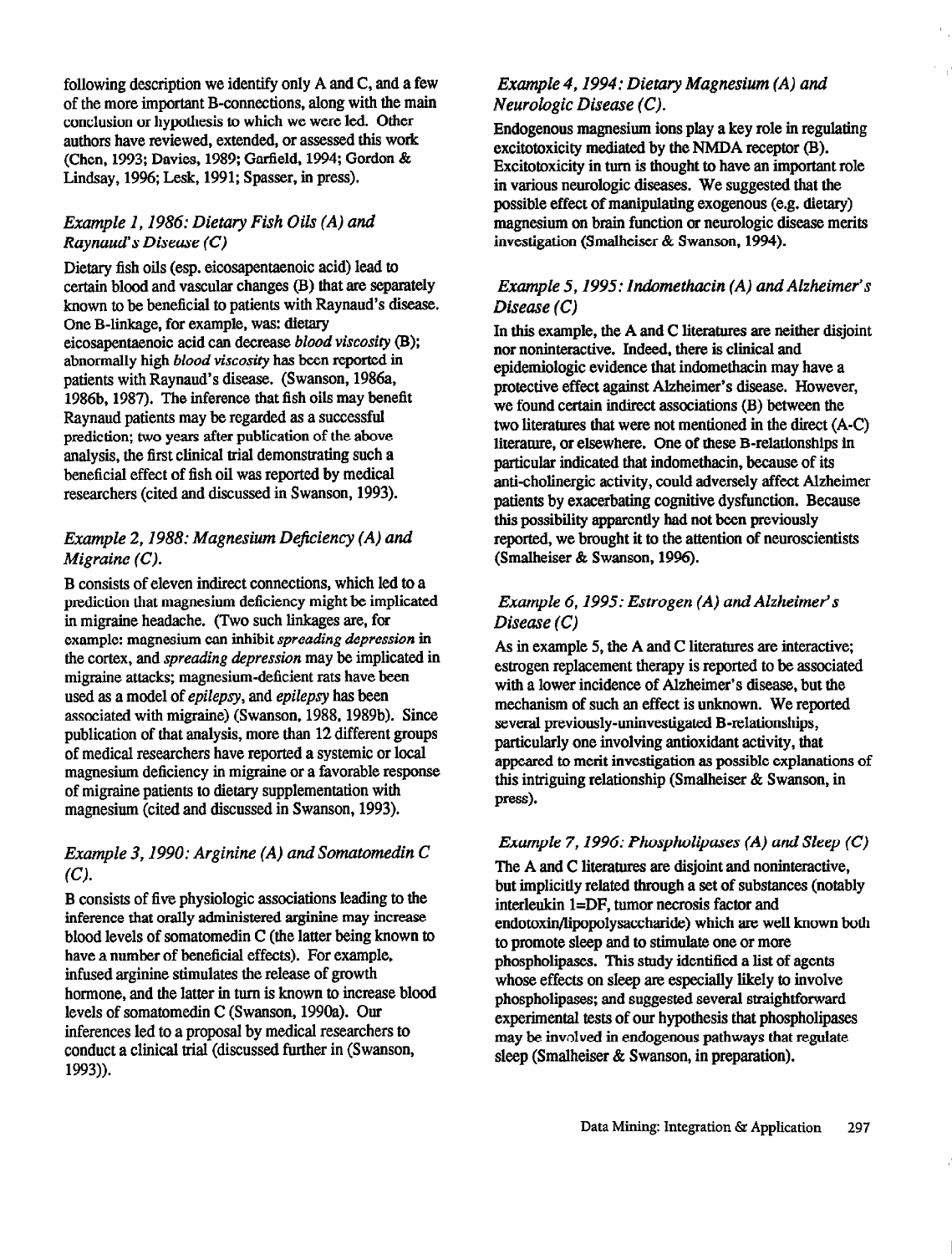following description we identify only  $A$  and  $C$ , and a few of the more important B-connections, along with the main conclusion or hypothesis to which we were led. Other authors have reviewed, extended, or assessed this work (Chen, 1993; Davies, 1989; Garfield, 1994; Gordon & Lindsay, 1996; Lesk, 1991; Spasser, in press).

#### Example 1, 1986: Dietary Fish Oils (A) and Raynaud's Disease  $(C)$

Dietary fish oils (esp. eicosapentaenoic acid) lead to certain blood and vascular changes (B) that are separately known to be beneficial to patients with Raynaud's disease. One B-linkage, for example, was: dietary eicosapentaenoic acid can decrease blood viscosity (B); abnormally high blood viscosity has been reported in patients with Raynaud's disease. (Swanson, 1986a, 1986b, 1987). The inference that fish oils may benefit Raynaud patients may be regarded as a successful prediction; two years after publication of the above analysis, the first clinical trial demonstrating such a beneficial effect of fish oil was reported by medical researchers (cited and discussed in Swanson, 1993).

#### Example 2, 1988: Magnesium Deficiency (A) and  $M$ igraine  $(C)$ .

B consists of eleven indirect connections, which led to a prediction that magnesium deficiency might be implicated in migraine headache. (Two such linkages are, for example: magnesium can inhibit spreading depression in the cortex, and spreading depression may be implicated in migraine attacks; magnesium-deficient rats have been used as a model of epilepsy, and epilepsy has been associated with migraine) (Swanson, 1988, 1989b). Since publication of that analysis, more than 12 different groups of medical researchers have reported a systemic or local magnesium deficiency in migraine or a favorable response of migraine patients to dietary supplementation with magnesium (cited and discussed in Swanson, 1993).

## Example 3, 1990: Arginine (A) and Somatomedin C  $(C)$ .

B consists of five physiologic associations leading to the inference that orally administered arginine may increase blood levels of somatomedin  $C$  (the latter being known to have a number of beneficial effects). For example, in fused arginine stimulates the release of growth hormone, and the latter in turn is known to increase blood levels of somatomedin C (Swanson, 1990a). Our inferences led to a proposal by medical researchers to conduct a clinical trial (discussed further in (Swanson, 1993)).

#### Example 4, 1994: Dietary Magnesium (A) and  $Neurologic Disease (C)$ .

Endogenous magnesium ions play a key role in regulating excitotoxicity mediated by the NMDA receptor  $(B)$ . Excitotoxicity in turn is thought to have an important role in various neurologic diseases. We suggested that the possible effect of manipulating exogenous (e.g. dietary) magnesium on brain function or neurologic disease merits investigation (Smalheiser & Swanson, 1994).

#### Example 5, 1995: Indomethacin (A) and Alzheimer's Disease (C)

In this example, the A and C literatures are neither disjoint nor noninteractive. Indeed, there is clinical and epidemiologic evidence that indomethacin may have a protective effect against Alzheimer's disease. However, we found certain indirect associations (B) between the two literatures that were not mentioned in the direct (A-C) literature, or elsewhere. One of these B-relationships in particular indicated that indomethacin, because of its<br>anti-cholinergic activity, could adversely affect Alzheimer patients by exacerbating cognitive dysfunction. Because this possibility apparently had not been previously reported, we brought it to the attention of neuroscientists (Smalheiser & Swanson, 1996).

## Example 6, 1995: Estrogen (A) and Alzheimer's Disease (C)

As in example 5, the A and C literatures are interactive; estrogen replacement therapy is reported to be associated with a lower incidence of Alzheimer's disease, but the mechanism of such an effect is unknown. We reported several previously-uninvestigated B-relationships. particularly one involving antioxidant activity, that appeared to merit investigation as possible explanations of this intriguing relationship (Smalheiser  $\&$  Swanson, in press).

## Example 7, 1996: Phospholipases (A) and Sleep  $(C)$

The A and C literatures are disjoint and noninteractive, but implicitly related through a set of substances (notably interleukin  $1 = DF$ , tumor necrosis factor and endo toxin/lipopolysaccharide) which are well known both to promote sleep and to stimulate one or more phospholipases. This study identified a list of agents whose effects on sleep are especially likely to involve phospholipases; and suggested several straightforward experimental tests of our hypothesis that phospholipases may be involved in endogenous pathways that regulate sleep (Smalheiser & Swanson, in preparation).